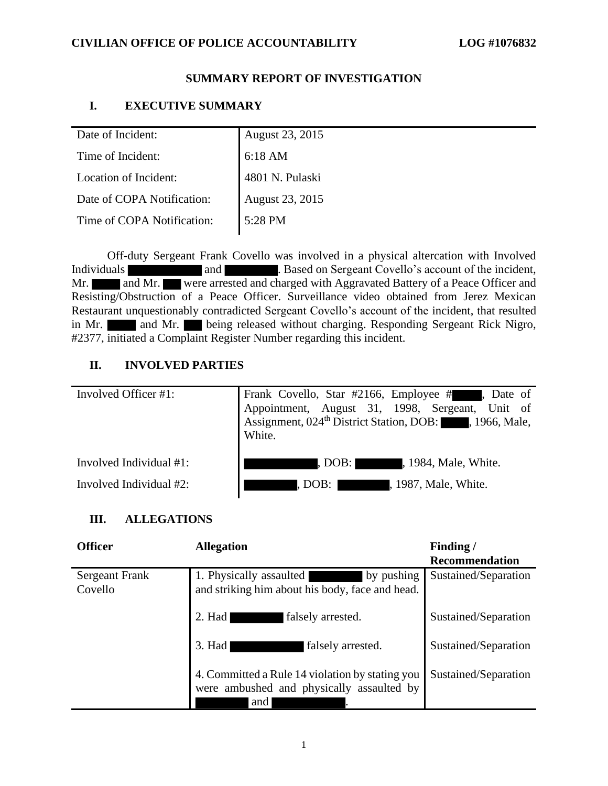#### **SUMMARY REPORT OF INVESTIGATION**

### **I. EXECUTIVE SUMMARY**

| Date of Incident:          | August 23, 2015   |
|----------------------------|-------------------|
| Time of Incident:          | $6:18 \text{ AM}$ |
| Location of Incident:      | 4801 N. Pulaski   |
| Date of COPA Notification: | August 23, 2015   |
| Time of COPA Notification: | 5:28 PM           |
|                            |                   |

Off-duty Sergeant Frank Covello was involved in a physical altercation with Involved Individuals and and **and** . Based on Sergeant Covello's account of the incident, Mr. and Mr. were arrested and charged with Aggravated Battery of a Peace Officer and Resisting/Obstruction of a Peace Officer. Surveillance video obtained from Jerez Mexican Restaurant unquestionably contradicted Sergeant Covello's account of the incident, that resulted in Mr. **and Mr.** being released without charging. Responding Sergeant Rick Nigro, #2377, initiated a Complaint Register Number regarding this incident.

#### **II. INVOLVED PARTIES**

| Involved Officer #1:    | Frank Covello, Star #2166, Employee #, Date of<br>Appointment, August 31, 1998, Sergeant, Unit of Assignment, 024 <sup>th</sup> District Station, DOB: 1966, Male,<br>White. |
|-------------------------|------------------------------------------------------------------------------------------------------------------------------------------------------------------------------|
| Involved Individual #1: | , 1984, Male, White.<br>, DOB: I                                                                                                                                             |
| Involved Individual #2: | . DOB: I<br>, 1987, Male, White.                                                                                                                                             |

## **III. ALLEGATIONS**

| <b>Officer</b>                   | <b>Allegation</b>                                                                                   | Finding/<br><b>Recommendation</b> |
|----------------------------------|-----------------------------------------------------------------------------------------------------|-----------------------------------|
| <b>Sergeant Frank</b><br>Covello | 1. Physically assaulted<br>by pushing<br>and striking him about his body, face and head.            | Sustained/Separation              |
|                                  | $2.$ Had<br>falsely arrested.                                                                       | Sustained/Separation              |
|                                  | $3.$ Had<br>falsely arrested.                                                                       | Sustained/Separation              |
|                                  | 4. Committed a Rule 14 violation by stating you<br>were ambushed and physically assaulted by<br>and | Sustained/Separation              |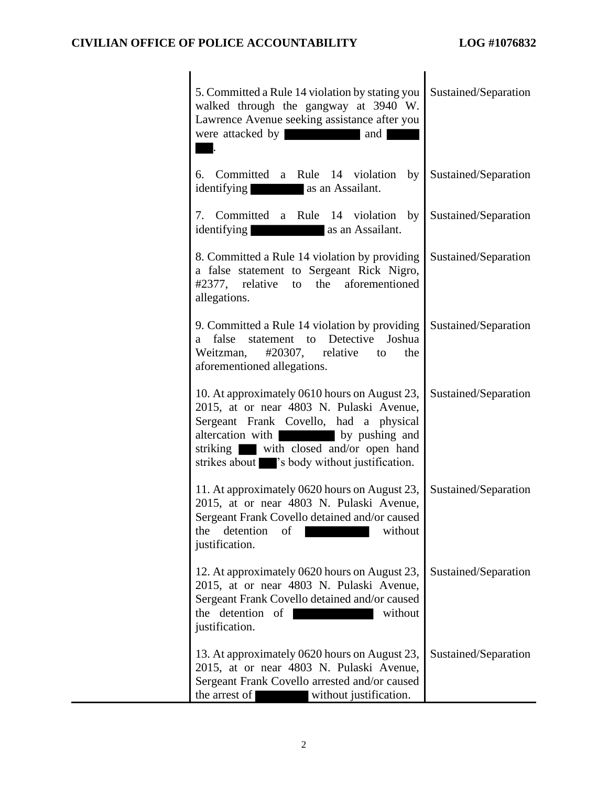| 5. Committed a Rule 14 violation by stating you<br>walked through the gangway at 3940 W.<br>Lawrence Avenue seeking assistance after you<br>were attacked by<br>and                                                                                                          | Sustained/Separation |
|------------------------------------------------------------------------------------------------------------------------------------------------------------------------------------------------------------------------------------------------------------------------------|----------------------|
| Committed a Rule 14 violation<br>by <sub>1</sub><br>6.<br>identifying<br>as an Assailant.                                                                                                                                                                                    | Sustained/Separation |
| 7. Committed a Rule 14 violation by<br>identifying<br>as an Assailant.                                                                                                                                                                                                       | Sustained/Separation |
| 8. Committed a Rule 14 violation by providing<br>a false statement to Sergeant Rick Nigro,<br>#2377, relative<br>to the aforementioned<br>allegations.                                                                                                                       | Sustained/Separation |
| 9. Committed a Rule 14 violation by providing<br>statement to Detective<br>Joshua<br>false<br>a<br>$\#20307$ , relative<br>Weitzman,<br>the<br>to<br>aforementioned allegations.                                                                                             | Sustained/Separation |
| 10. At approximately 0610 hours on August 23,<br>2015, at or near 4803 N. Pulaski Avenue,<br>Sergeant Frank Covello, had a physical<br>altercation with by pushing and<br>with closed and/or open hand<br>striking<br>strikes about similarly is body without justification. | Sustained/Separation |
| 11. At approximately 0620 hours on August 23,<br>2015, at or near 4803 N. Pulaski Avenue,<br>Sergeant Frank Covello detained and/or caused<br>detention<br>without<br>the<br>of<br>justification.                                                                            | Sustained/Separation |
| 12. At approximately 0620 hours on August 23,<br>2015, at or near 4803 N. Pulaski Avenue,<br>Sergeant Frank Covello detained and/or caused<br>the detention of<br>without<br>justification.                                                                                  | Sustained/Separation |
| 13. At approximately 0620 hours on August 23,<br>2015, at or near 4803 N. Pulaski Avenue,<br>Sergeant Frank Covello arrested and/or caused<br>the arrest of<br>without justification.                                                                                        | Sustained/Separation |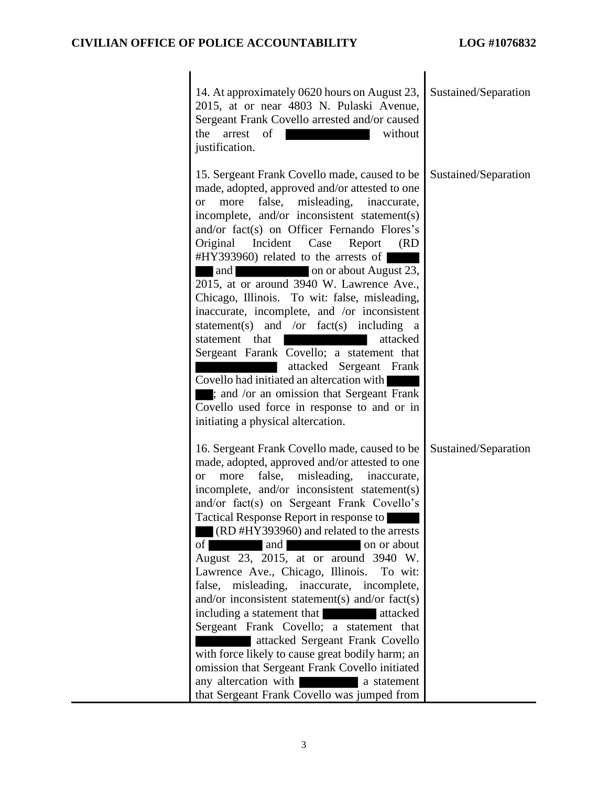| 14. At approximately 0620 hours on August 23,<br>2015, at or near 4803 N. Pulaski Avenue,<br>Sergeant Frank Covello arrested and/or caused<br>the<br>arrest<br>without<br>of<br>justification.                                                                                                                                                                                                                                                                                                                                                                                                                                                                                                                                                                                                                                                                                                         | Sustained/Separation |
|--------------------------------------------------------------------------------------------------------------------------------------------------------------------------------------------------------------------------------------------------------------------------------------------------------------------------------------------------------------------------------------------------------------------------------------------------------------------------------------------------------------------------------------------------------------------------------------------------------------------------------------------------------------------------------------------------------------------------------------------------------------------------------------------------------------------------------------------------------------------------------------------------------|----------------------|
| 15. Sergeant Frank Covello made, caused to be<br>made, adopted, approved and/or attested to one<br>false, misleading,<br>more<br>inaccurate,<br><b>or</b><br>incomplete, and/or inconsistent statement(s)<br>and/or fact(s) on Officer Fernando Flores's<br>Original Incident Case<br>Report<br>(RD<br>#HY393960) related to the arrests of<br>and<br>on or about August 23,<br>2015, at or around 3940 W. Lawrence Ave.,<br>Chicago, Illinois. To wit: false, misleading,<br>inaccurate, incomplete, and /or inconsistent<br>statement(s) and /or fact(s) including<br><sub>a</sub><br>attacked<br>statement that<br>Sergeant Farank Covello; a statement that<br>attacked<br>Sergeant Frank<br>Covello had initiated an altercation with<br>; and /or an omission that Sergeant Frank<br>Covello used force in response to and or in<br>initiating a physical altercation.                           | Sustained/Separation |
| 16. Sergeant Frank Covello made, caused to be<br>made, adopted, approved and/or attested to one<br>false, misleading,<br>more<br>inaccurate,<br><b>or</b><br>incomplete, and/or inconsistent statement(s)<br>and/or fact(s) on Sergeant Frank Covello's<br><b>Tactical Response Report in response to</b><br>(RD#HY393960) and related to the arrests<br>of<br>on or about<br>and<br>August 23, 2015, at or around 3940 W.<br>Lawrence Ave., Chicago, Illinois.<br>To wit:<br>misleading, inaccurate,<br>false,<br>incomplete,<br>and/or inconsistent statement(s) and/or fact(s)<br>including a statement that<br>attacked<br>Sergeant Frank Covello; a statement that<br>attacked Sergeant Frank Covello<br>with force likely to cause great bodily harm; an<br>omission that Sergeant Frank Covello initiated<br>any altercation with<br>a statement<br>that Sergeant Frank Covello was jumped from | Sustained/Separation |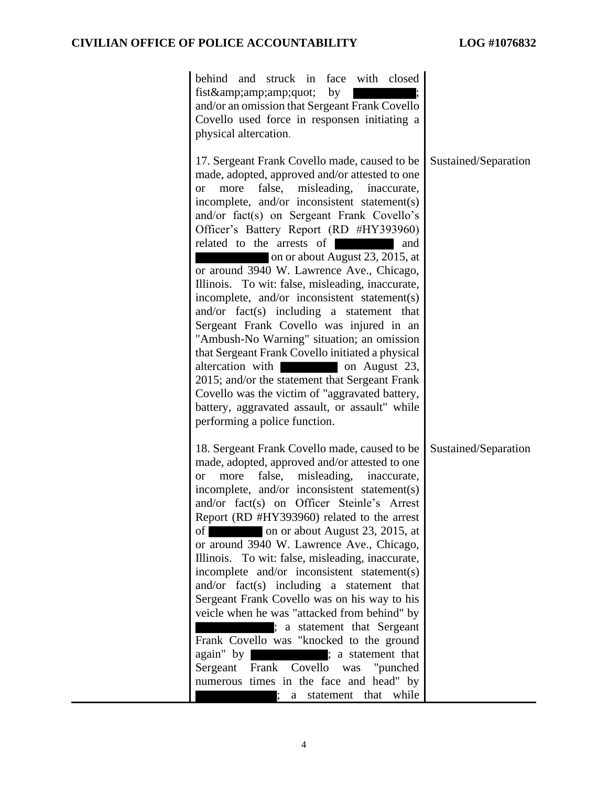| behind and struck in<br>face<br>with closed<br>fist"<br>by<br>and/or an omission that Sergeant Frank Covello<br>Covello used force in responsen initiating a<br>physical altercation.                                                                                                                                                                                                                                                                                                                                                                                                                                                                                                                                                                                                                                                                                                                                                                  |                      |
|--------------------------------------------------------------------------------------------------------------------------------------------------------------------------------------------------------------------------------------------------------------------------------------------------------------------------------------------------------------------------------------------------------------------------------------------------------------------------------------------------------------------------------------------------------------------------------------------------------------------------------------------------------------------------------------------------------------------------------------------------------------------------------------------------------------------------------------------------------------------------------------------------------------------------------------------------------|----------------------|
| 17. Sergeant Frank Covello made, caused to be<br>made, adopted, approved and/or attested to one<br>false,<br>misleading,<br>inaccurate,<br>more<br><b>or</b><br>incomplete, and/or inconsistent statement(s)<br>and/or fact(s) on Sergeant Frank Covello's<br>Officer's Battery Report (RD #HY393960)<br>related to the arrests of<br>and<br>on or about August 23, 2015, at<br>or around 3940 W. Lawrence Ave., Chicago,<br>Illinois. To wit: false, misleading, inaccurate,<br>incomplete, and/or inconsistent statement(s)<br>$and/or$ fact(s) including a statement that<br>Sergeant Frank Covello was injured in an<br>"Ambush-No Warning" situation; an omission<br>that Sergeant Frank Covello initiated a physical<br>altercation with<br>on August 23,<br>2015; and/or the statement that Sergeant Frank<br>Covello was the victim of "aggravated battery,<br>battery, aggravated assault, or assault" while<br>performing a police function. | Sustained/Separation |
| 18. Sergeant Frank Covello made, caused to be<br>made, adopted, approved and/or attested to one<br>false, misleading,<br>inaccurate,<br>more<br><b>or</b><br>incomplete, and/or inconsistent statement(s)<br>and/or fact(s) on Officer Steinle's Arrest<br>Report (RD #HY393960) related to the arrest<br>on or about August 23, 2015, at<br>$\sigma$<br>or around 3940 W. Lawrence Ave., Chicago,<br>Illinois. To wit: false, misleading, inaccurate,<br>incomplete and/or inconsistent statement(s)<br>and/or fact(s) including a statement that<br>Sergeant Frank Covello was on his way to his<br>veicle when he was "attacked from behind" by<br>; a statement that Sergeant<br>Frank Covello was "knocked to the ground<br>again" by<br>; a statement that<br>Frank Covello<br>Sergeant<br>was "punched"<br>numerous times in the face and head" by<br>a statement that while                                                                    | Sustained/Separation |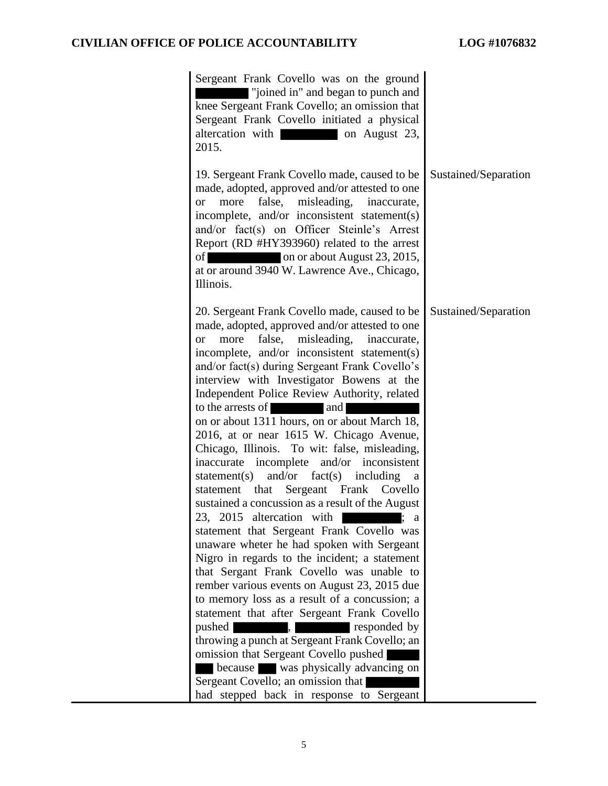| Sergeant Frank Covello was on the ground<br>"joined in" and began to punch and<br>knee Sergeant Frank Covello; an omission that<br>Sergeant Frank Covello initiated a physical<br>altercation with<br>on August 23,<br>2015.                                                                                                                                                                                                                                                                                                                                                                                                                                                                                                                                                                                                                                                                                                                                                                                                                                                                                                                                                                                                                                                                                                                                          |                      |
|-----------------------------------------------------------------------------------------------------------------------------------------------------------------------------------------------------------------------------------------------------------------------------------------------------------------------------------------------------------------------------------------------------------------------------------------------------------------------------------------------------------------------------------------------------------------------------------------------------------------------------------------------------------------------------------------------------------------------------------------------------------------------------------------------------------------------------------------------------------------------------------------------------------------------------------------------------------------------------------------------------------------------------------------------------------------------------------------------------------------------------------------------------------------------------------------------------------------------------------------------------------------------------------------------------------------------------------------------------------------------|----------------------|
| 19. Sergeant Frank Covello made, caused to be<br>made, adopted, approved and/or attested to one<br>false,<br>misleading,<br>more<br>inaccurate,<br>or<br>incomplete, and/or inconsistent statement(s)<br>and/or fact(s) on Officer Steinle's Arrest<br>Report (RD #HY393960) related to the arrest<br>of<br>on or about August 23, 2015,<br>at or around 3940 W. Lawrence Ave., Chicago,<br>Illinois.                                                                                                                                                                                                                                                                                                                                                                                                                                                                                                                                                                                                                                                                                                                                                                                                                                                                                                                                                                 | Sustained/Separation |
| 20. Sergeant Frank Covello made, caused to be<br>made, adopted, approved and/or attested to one<br>misleading,<br>more<br>false,<br>inaccurate,<br><sub>or</sub><br>incomplete, and/or inconsistent statement(s)<br>and/or fact(s) during Sergeant Frank Covello's<br>interview with Investigator Bowens at the<br>Independent Police Review Authority, related<br>to the arrests of<br>and<br>on or about 1311 hours, on or about March 18,<br>2016, at or near 1615 W. Chicago Avenue,<br>Chicago, Illinois. To wit: false, misleading,<br>inaccurate incomplete<br>and/or inconsistent<br>and/or $fact(s)$<br>statement(s)<br>including<br>a<br>Sergeant Frank<br>statement that<br>Covello<br>sustained a concussion as a result of the August<br>23, 2015 altercation with<br>statement that Sergeant Frank Covello was<br>unaware wheter he had spoken with Sergeant<br>Nigro in regards to the incident; a statement<br>that Sergant Frank Covello was unable to<br>rember various events on August 23, 2015 due<br>to memory loss as a result of a concussion; a<br>statement that after Sergeant Frank Covello<br>pushed<br>responded by<br>throwing a punch at Sergeant Frank Covello; an<br>omission that Sergeant Covello pushed<br>because was physically advancing on<br>Sergeant Covello; an omission that<br>had stepped back in response to Sergeant | Sustained/Separation |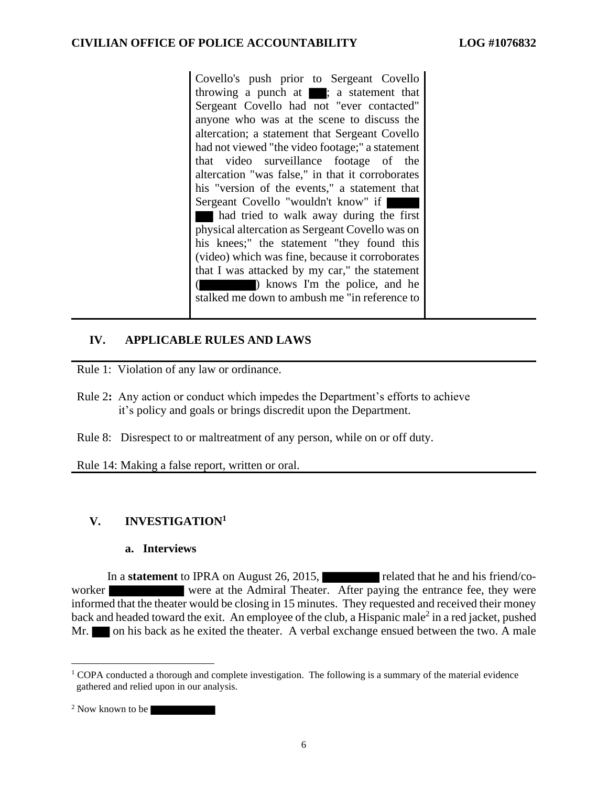Covello's push prior to Sergeant Covello throwing a punch at  $\blacksquare$ ; a statement that Sergeant Covello had not "ever contacted" anyone who was at the scene to discuss the altercation; a statement that Sergeant Covello had not viewed "the video footage;" a statement that video surveillance footage of the altercation "was false," in that it corroborates his "version of the events," a statement that Sergeant Covello "wouldn't know" if had tried to walk away during the first physical altercation as Sergeant Covello was on his knees;" the statement "they found this (video) which was fine, because it corroborates that I was attacked by my car," the statement ( ) knows I'm the police, and he stalked me down to ambush me "in reference to

#### **IV. APPLICABLE RULES AND LAWS**

Rule 1: Violation of any law or ordinance.

- Rule 2**:** Any action or conduct which impedes the Department's efforts to achieve it's policy and goals or brings discredit upon the Department.
- Rule 8: Disrespect to or maltreatment of any person, while on or off duty.

Rule 14: Making a false report, written or oral.

## **V. INVESTIGATION<sup>1</sup>**

#### **a. Interviews**

In a **statement** to IPRA on August 26, 2015, related that he and his friend/coworker were at the Admiral Theater. After paying the entrance fee, they were informed that the theater would be closing in 15 minutes. They requested and received their money back and headed toward the exit. An employee of the club, a Hispanic male<sup>2</sup> in a red jacket, pushed Mr. on his back as he exited the theater. A verbal exchange ensued between the two. A male

<sup>&</sup>lt;sup>1</sup> COPA conducted a thorough and complete investigation. The following is a summary of the material evidence gathered and relied upon in our analysis.

<sup>&</sup>lt;sup>2</sup> Now known to be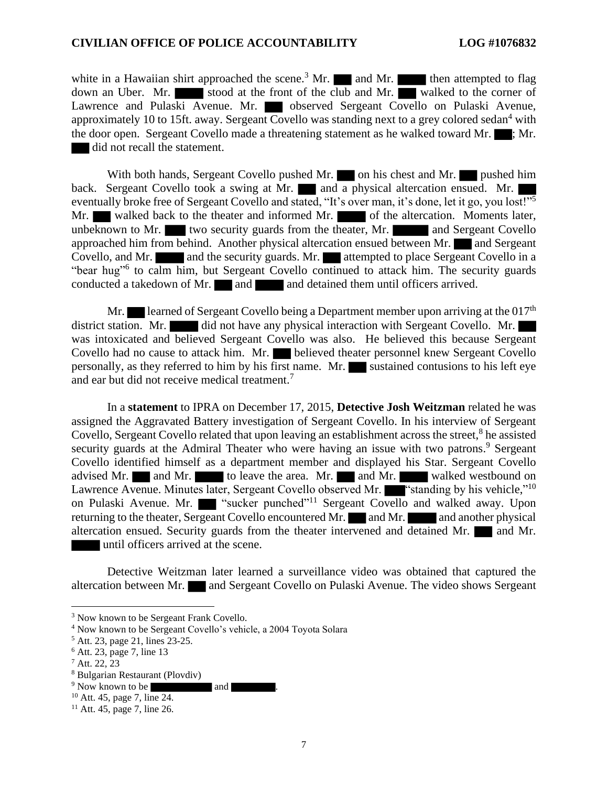white in a Hawaiian shirt approached the scene.<sup>3</sup> Mr. and Mr. then attempted to flag down an Uber. Mr. stood at the front of the club and Mr. walked to the corner of Lawrence and Pulaski Avenue. Mr. observed Sergeant Covello on Pulaski Avenue, approximately 10 to 15ft. away. Sergeant Covello was standing next to a grey colored sedan<sup>4</sup> with the door open. Sergeant Covello made a threatening statement as he walked toward Mr.  $\blacksquare$ ; Mr. did not recall the statement.

With both hands, Sergeant Covello pushed Mr. on his chest and Mr. pushed him back. Sergeant Covello took a swing at Mr. and a physical altercation ensued. Mr. eventually broke free of Sergeant Covello and stated, "It's over man, it's done, let it go, you lost!"<sup>5</sup> Mr. walked back to the theater and informed Mr. of the altercation. Moments later, unbeknown to Mr. two security guards from the theater, Mr.  $\blacksquare$  and Sergeant Covello approached him from behind. Another physical altercation ensued between Mr. and Sergeant Covello, and Mr. **and the security guards. Mr.** attempted to place Sergeant Covello in a "bear hug"<sup>6</sup> to calm him, but Sergeant Covello continued to attack him. The security guards conducted a takedown of Mr. and and detained them until officers arrived.

Mr. learned of Sergeant Covello being a Department member upon arriving at the  $017<sup>th</sup>$ district station. Mr. did not have any physical interaction with Sergeant Covello. Mr. was intoxicated and believed Sergeant Covello was also. He believed this because Sergeant Covello had no cause to attack him. Mr. believed theater personnel knew Sergeant Covello personally, as they referred to him by his first name. Mr. sustained contusions to his left eye and ear but did not receive medical treatment.<sup>7</sup>

In a **statement** to IPRA on December 17, 2015, **Detective Josh Weitzman** related he was assigned the Aggravated Battery investigation of Sergeant Covello. In his interview of Sergeant Covello, Sergeant Covello related that upon leaving an establishment across the street,<sup>8</sup> he assisted security guards at the Admiral Theater who were having an issue with two patrons.<sup>9</sup> Sergeant Covello identified himself as a department member and displayed his Star. Sergeant Covello advised Mr. and Mr. to leave the area. Mr. and Mr. walked westbound on Lawrence Avenue. Minutes later, Sergeant Covello observed Mr. ""standing by his vehicle,"<sup>10</sup> on Pulaski Avenue. Mr. **Warehof** "sucker punched"<sup>11</sup> Sergeant Covello and walked away. Upon returning to the theater, Sergeant Covello encountered Mr. and Mr. and another physical altercation ensued. Security guards from the theater intervened and  $\overline{\text{detained}}$  Mr.  $\blacksquare$  and Mr. until officers arrived at the scene.

Detective Weitzman later learned a surveillance video was obtained that captured the altercation between Mr. and Sergeant Covello on Pulaski Avenue. The video shows Sergeant

<sup>&</sup>lt;sup>3</sup> Now known to be Sergeant Frank Covello.

<sup>4</sup> Now known to be Sergeant Covello's vehicle, a 2004 Toyota Solara

<sup>5</sup> Att. 23, page 21, lines 23-25.

<sup>6</sup> Att. 23, page 7, line 13

 $^7$  Att. 22, 23

<sup>8</sup> Bulgarian Restaurant (Plovdiv)

<sup>&</sup>lt;sup>9</sup> Now known to be and .

<sup>10</sup> Att. 45, page 7, line 24.

 $11$  Att. 45, page 7, line 26.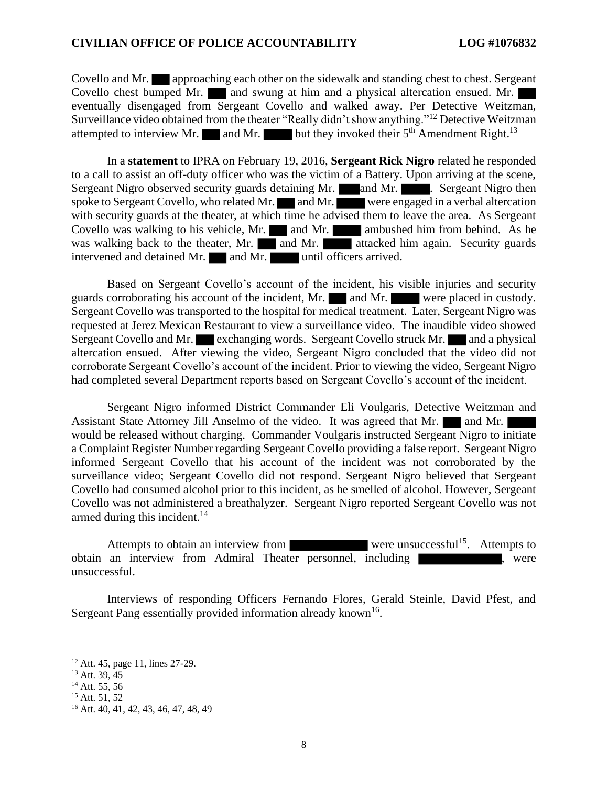Covello and Mr. approaching each other on the sidewalk and standing chest to chest. Sergeant Covello chest bumped Mr. and swung at him and a physical altercation ensued. Mr. eventually disengaged from Sergeant Covello and walked away. Per Detective Weitzman, Surveillance video obtained from the theater "Really didn't show anything."<sup>12</sup> Detective Weitzman attempted to interview Mr. and Mr. but they invoked their  $5<sup>th</sup>$  Amendment Right.<sup>13</sup>

In a **statement** to IPRA on February 19, 2016, **Sergeant Rick Nigro** related he responded to a call to assist an off-duty officer who was the victim of a Battery. Upon arriving at the scene, Sergeant Nigro observed security guards detaining Mr. and Mr. Sergeant Nigro then spoke to Sergeant Covello, who related Mr.  $\Box$  and Mr. were engaged in a verbal altercation with security guards at the theater, at which time he advised them to leave the area. As Sergeant Covello was walking to his vehicle, Mr.  $\Box$  and Mr. ambushed him from behind. As he was walking back to the theater, Mr. and Mr. attacked him again. Security guards intervened and detained Mr. and Mr. until officers arrived.

Based on Sergeant Covello's account of the incident, his visible injuries and security guards corroborating his account of the incident, Mr.  $\blacksquare$  and Mr. were placed in custody. Sergeant Covello was transported to the hospital for medical treatment. Later, Sergeant Nigro was requested at Jerez Mexican Restaurant to view a surveillance video. The inaudible video showed Sergeant Covello and Mr. exchanging words. Sergeant Covello struck Mr. and a physical altercation ensued. After viewing the video, Sergeant Nigro concluded that the video did not corroborate Sergeant Covello's account of the incident. Prior to viewing the video, Sergeant Nigro had completed several Department reports based on Sergeant Covello's account of the incident.

Sergeant Nigro informed District Commander Eli Voulgaris, Detective Weitzman and Assistant State Attorney Jill Anselmo of the video. It was agreed that Mr. and Mr. would be released without charging. Commander Voulgaris instructed Sergeant Nigro to initiate a Complaint Register Number regarding Sergeant Covello providing a false report. Sergeant Nigro informed Sergeant Covello that his account of the incident was not corroborated by the surveillance video; Sergeant Covello did not respond. Sergeant Nigro believed that Sergeant Covello had consumed alcohol prior to this incident, as he smelled of alcohol. However, Sergeant Covello was not administered a breathalyzer. Sergeant Nigro reported Sergeant Covello was not armed during this incident.<sup>14</sup>

Attempts to obtain an interview from were unsuccessful<sup>15</sup>. Attempts to obtain an interview from Admiral Theater personnel, including were unsuccessful.

Interviews of responding Officers Fernando Flores, Gerald Steinle, David Pfest, and Sergeant Pang essentially provided information already known<sup>16</sup>.

<sup>12</sup> Att. 45, page 11, lines 27-29.

 $13$  Att. 39,  $45$ 

 $14$  Att. 55, 56

<sup>15</sup> Att. 51, 52

<sup>16</sup> Att. 40, 41, 42, 43, 46, 47, 48, 49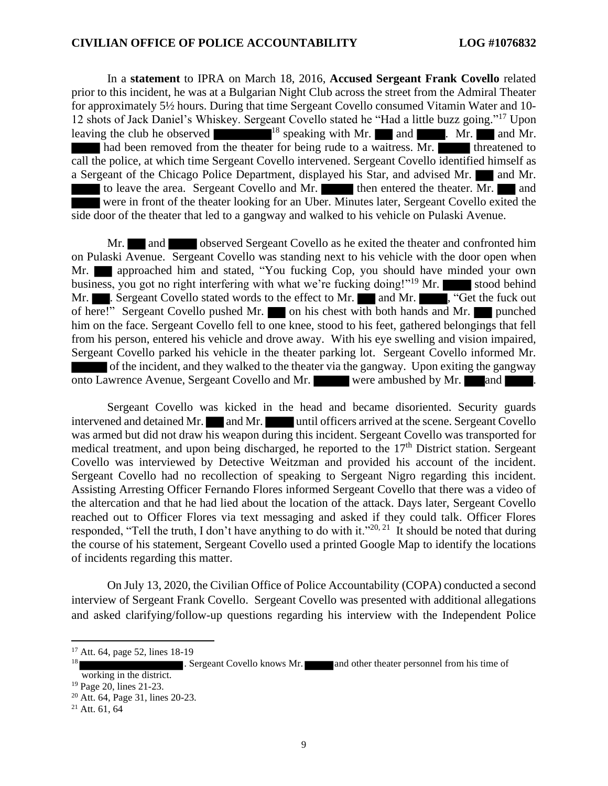In a **statement** to IPRA on March 18, 2016, **Accused Sergeant Frank Covello** related prior to this incident, he was at a Bulgarian Night Club across the street from the Admiral Theater for approximately 5½ hours. During that time Sergeant Covello consumed Vitamin Water and 10- 12 shots of Jack Daniel's Whiskey. Sergeant Covello stated he "Had a little buzz going."<sup>17</sup> Upon leaving the club he observed  $\frac{18}{18}$  speaking with Mr. and  $\frac{18}{18}$  and Mr. had been removed from the theater for being rude to a waitress.  $\overline{Mr.}$  threatened to call the police, at which time Sergeant Covello intervened. Sergeant Covello identified himself as a Sergeant of the Chicago Police Department, displayed his Star, and advised Mr. and Mr. to leave the area. Sergeant Covello and Mr. then entered the theater. Mr. and were in front of the theater looking for an Uber. Minutes later, Sergeant Covello exited the side door of the theater that led to a gangway and walked to his vehicle on Pulaski Avenue.

Mr. and observed Sergeant Covello as he exited the theater and confronted him on Pulaski Avenue. Sergeant Covello was standing next to his vehicle with the door open when Mr. **approached him and stated, "You fucking Cop, you should have minded your own** business, you got no right interfering with what we're fucking doing!"<sup>19</sup> Mr. stood behind Mr. Sergeant Covello stated words to the effect to Mr. and Mr.  $\blacksquare$ , "Get the fuck out" of here!" Sergeant Covello pushed Mr. on his chest with both hands and Mr. him on the face. Sergeant Covello fell to one knee, stood to his feet, gathered belongings that fell from his person, entered his vehicle and drove away. With his eye swelling and vision impaired, Sergeant Covello parked his vehicle in the theater parking lot. Sergeant Covello informed Mr. of the incident, and they walked to the theater via the gangway. Upon exiting the gangway onto Lawrence Avenue, Sergeant Covello and Mr. were ambushed by Mr. and

Sergeant Covello was kicked in the head and became disoriented. Security guards intervened and detained Mr.  $\blacksquare$  and Mr. until officers arrived at the scene. Sergeant Covello was armed but did not draw his weapon during this incident. Sergeant Covello was transported for medical treatment, and upon being discharged, he reported to the 17<sup>th</sup> District station. Sergeant Covello was interviewed by Detective Weitzman and provided his account of the incident. Sergeant Covello had no recollection of speaking to Sergeant Nigro regarding this incident. Assisting Arresting Officer Fernando Flores informed Sergeant Covello that there was a video of the altercation and that he had lied about the location of the attack. Days later, Sergeant Covello reached out to Officer Flores via text messaging and asked if they could talk. Officer Flores responded, "Tell the truth, I don't have anything to do with it."<sup>20, 21</sup> It should be noted that during the course of his statement, Sergeant Covello used a printed Google Map to identify the locations of incidents regarding this matter.

On July 13, 2020, the Civilian Office of Police Accountability (COPA) conducted a second interview of Sergeant Frank Covello. Sergeant Covello was presented with additional allegations and asked clarifying/follow-up questions regarding his interview with the Independent Police

18

<sup>17</sup> Att. 64, page 52, lines 18-19

<sup>.</sup> Sergeant Covello knows Mr. **and** other theater personnel from his time of working in the district.

<sup>19</sup> Page 20, lines 21-23.

<sup>20</sup> Att. 64, Page 31, lines 20-23.

 $21$  Att. 61, 64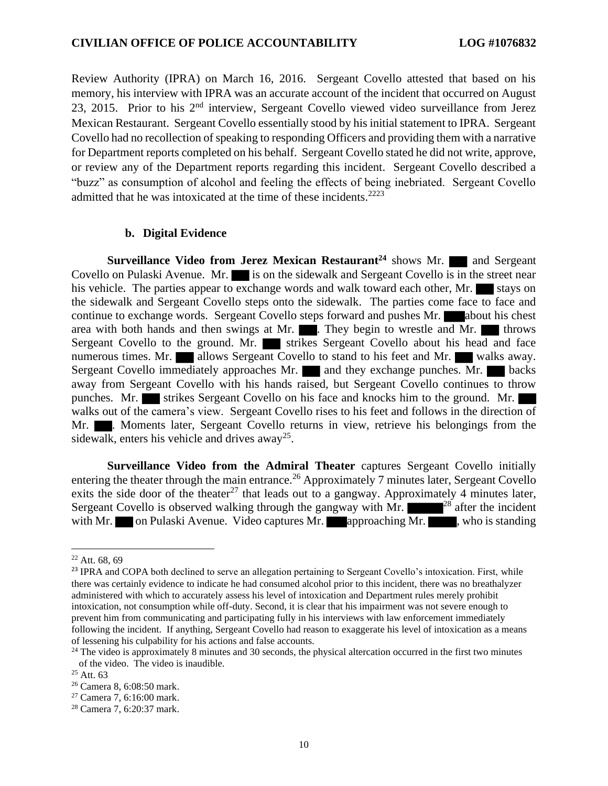Review Authority (IPRA) on March 16, 2016. Sergeant Covello attested that based on his memory, his interview with IPRA was an accurate account of the incident that occurred on August 23, 2015. Prior to his 2nd interview, Sergeant Covello viewed video surveillance from Jerez Mexican Restaurant. Sergeant Covello essentially stood by his initial statement to IPRA. Sergeant Covello had no recollection of speaking to responding Officers and providing them with a narrative for Department reports completed on his behalf. Sergeant Covello stated he did not write, approve, or review any of the Department reports regarding this incident. Sergeant Covello described a "buzz" as consumption of alcohol and feeling the effects of being inebriated. Sergeant Covello admitted that he was intoxicated at the time of these incidents.<sup>2223</sup>

#### **b. Digital Evidence**

**Surveillance Video from Jerez Mexican Restaurant<sup>24</sup> shows Mr. and Sergeant** Covello on Pulaski Avenue. Mr. is on the sidewalk and Sergeant Covello is in the street near his vehicle. The parties appear to exchange words and walk toward each other, Mr. stays on the sidewalk and Sergeant Covello steps onto the sidewalk. The parties come face to face and continue to exchange words. Sergeant Covello steps forward and pushes Mr. about his chest area with both hands and then swings at Mr.  $\blacksquare$ . They begin to wrestle and Mr.  $\blacksquare$  throws Sergeant Covello to the ground. Mr. strikes Sergeant Covello about his head and face numerous times. Mr. allows Sergeant Covello to stand to his feet and Mr. walks away. Sergeant Covello immediately approaches Mr. and they exchange punches. Mr. backs away from Sergeant Covello with his hands raised, but Sergeant Covello continues to throw punches. Mr. strikes Sergeant Covello on his face and knocks him to the ground. Mr. walks out of the camera's view. Sergeant Covello rises to his feet and follows in the direction of Mr.  $\blacksquare$ . Moments later, Sergeant Covello returns in view, retrieve his belongings from the sidewalk, enters his vehicle and drives away<sup>25</sup>.

**Surveillance Video from the Admiral Theater** captures Sergeant Covello initially entering the theater through the main entrance.<sup>26</sup> Approximately 7 minutes later, Sergeant Covello exits the side door of the theater<sup>27</sup> that leads out to a gangway. Approximately 4 minutes later, Sergeant Covello is observed walking through the gangway with Mr.  $28$  after the incident with Mr. on Pulaski Avenue. Video captures Mr. approaching Mr.  $\blacksquare$ , who is standing

 $22$  Att. 68, 69

<sup>&</sup>lt;sup>23</sup> IPRA and COPA both declined to serve an allegation pertaining to Sergeant Covello's intoxication. First, while there was certainly evidence to indicate he had consumed alcohol prior to this incident, there was no breathalyzer administered with which to accurately assess his level of intoxication and Department rules merely prohibit intoxication, not consumption while off-duty. Second, it is clear that his impairment was not severe enough to prevent him from communicating and participating fully in his interviews with law enforcement immediately following the incident. If anything, Sergeant Covello had reason to exaggerate his level of intoxication as a means of lessening his culpability for his actions and false accounts.

<sup>&</sup>lt;sup>24</sup> The video is approximately 8 minutes and 30 seconds, the physical altercation occurred in the first two minutes of the video. The video is inaudible.

 $25$  Att. 63

<sup>26</sup> Camera 8, 6:08:50 mark.

<sup>27</sup> Camera 7, 6:16:00 mark.

<sup>28</sup> Camera 7, 6:20:37 mark.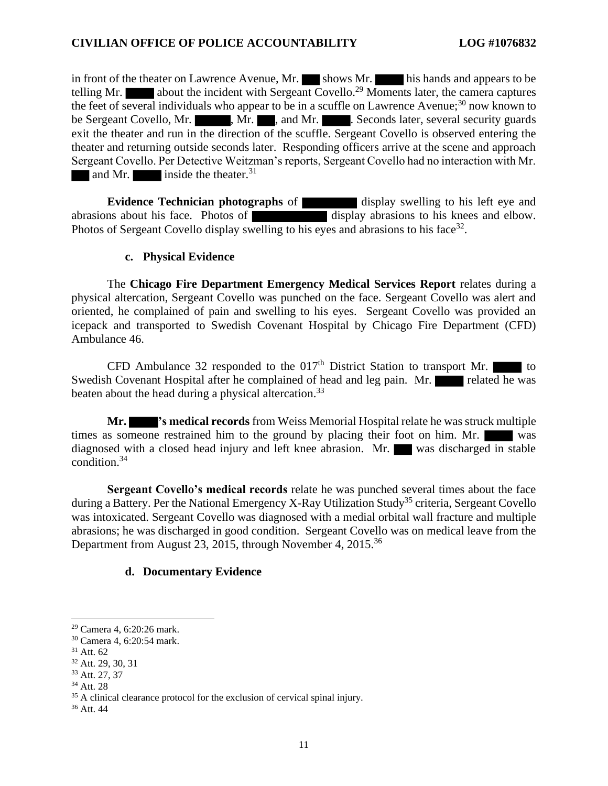in front of the theater on Lawrence Avenue, Mr. shows Mr. his hands and appears to be telling Mr. **about the incident with Sergeant Covello.**<sup>29</sup> Moments later, the camera captures the feet of several individuals who appear to be in a scuffle on Lawrence Avenue;<sup>30</sup> now known to be Sergeant Covello, Mr. , Mr. , Mr. , and Mr. . Seconds later, several security guards exit the theater and run in the direction of the scuffle. Sergeant Covello is observed entering the theater and returning outside seconds later. Responding officers arrive at the scene and approach Sergeant Covello. Per Detective Weitzman's reports, Sergeant Covello had no interaction with Mr. and Mr. inside the theater.<sup>31</sup>

**Evidence Technician photographs** of display swelling to his left eye and abrasions about his face. Photos of display abrasions to his knees and elbow. Photos of Sergeant Covello display swelling to his eyes and abrasions to his face<sup>32</sup>.

#### **c. Physical Evidence**

The **Chicago Fire Department Emergency Medical Services Report** relates during a physical altercation, Sergeant Covello was punched on the face. Sergeant Covello was alert and oriented, he complained of pain and swelling to his eyes. Sergeant Covello was provided an icepack and transported to Swedish Covenant Hospital by Chicago Fire Department (CFD) Ambulance 46.

CFD Ambulance 32 responded to the  $017<sup>th</sup>$  District Station to transport Mr. Swedish Covenant Hospital after he complained of head and leg pain. Mr. beaten about the head during a physical altercation.<sup>33</sup>

**Mr. 's medical records** from Weiss Memorial Hospital relate he was struck multiple times as someone restrained him to the ground by placing their foot on him. Mr. was diagnosed with a closed head injury and left knee abrasion. Mr. was discharged in stable condition. 34

**Sergeant Covello's medical records** relate he was punched several times about the face during a Battery. Per the National Emergency X-Ray Utilization Study<sup>35</sup> criteria, Sergeant Covello was intoxicated. Sergeant Covello was diagnosed with a medial orbital wall fracture and multiple abrasions; he was discharged in good condition. Sergeant Covello was on medical leave from the Department from August 23, 2015, through November 4, 2015.<sup>36</sup>

## **d. Documentary Evidence**

<sup>29</sup> Camera 4, 6:20:26 mark.

<sup>30</sup> Camera 4, 6:20:54 mark.

<sup>31</sup> Att. 62

<sup>32</sup> Att. 29, 30, 31

<sup>33</sup> Att. 27, 37

<sup>34</sup> Att. 28

<sup>&</sup>lt;sup>35</sup> A clinical clearance protocol for the exclusion of cervical spinal injury.

<sup>36</sup> Att. 44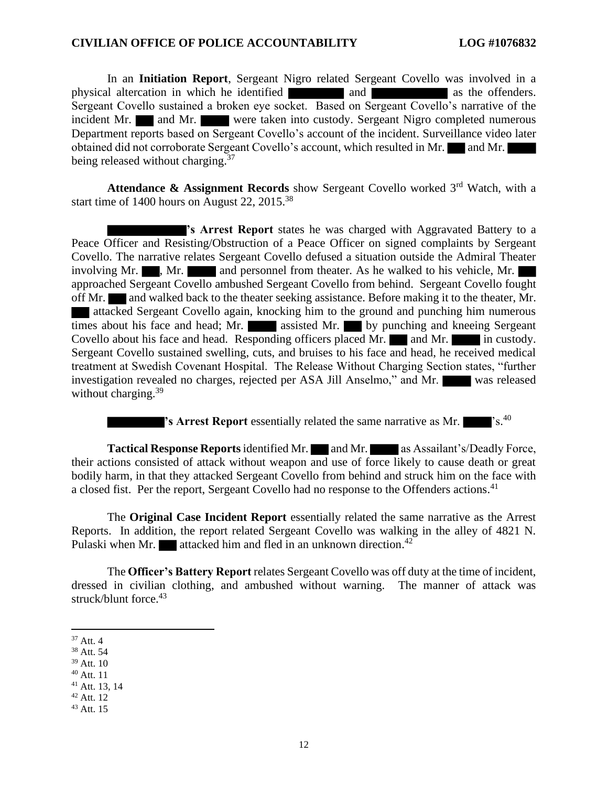In an **Initiation Report**, Sergeant Nigro related Sergeant Covello was involved in a physical altercation in which he identified and and as the offenders. Sergeant Covello sustained a broken eye socket. Based on Sergeant Covello's narrative of the incident Mr. and Mr. were taken into custody. Sergeant Nigro completed numerous Department reports based on Sergeant Covello's account of the incident. Surveillance video later obtained did not corroborate Sergeant Covello's account, which resulted in Mr. and Mr. being released without charging.<sup>37</sup>

**Attendance & Assignment Records** show Sergeant Covello worked 3<sup>rd</sup> Watch, with a start time of 1400 hours on August 22, 2015.<sup>38</sup>

**'s Arrest Report** states he was charged with Aggravated Battery to a Peace Officer and Resisting/Obstruction of a Peace Officer on signed complaints by Sergeant Covello. The narrative relates Sergeant Covello defused a situation outside the Admiral Theater involving Mr.  $\blacksquare$ , Mr. and personnel from theater. As he walked to his vehicle, Mr. approached Sergeant Covello ambushed Sergeant Covello from behind. Sergeant Covello fought off Mr. and walked back to the theater seeking assistance. Before making it to the theater, Mr. attacked Sergeant Covello again, knocking him to the ground and punching him numerous times about his face and head; Mr. assisted Mr. by punching and kneeing Sergeant Covello about his face and head. Responding officers placed Mr. and Mr. in custody. Sergeant Covello sustained swelling, cuts, and bruises to his face and head, he received medical treatment at Swedish Covenant Hospital. The Release Without Charging Section states, "further investigation revealed no charges, rejected per ASA Jill Anselmo," and Mr. was released without charging.<sup>39</sup>

**'s Arrest Report** essentially related the same narrative as Mr.  $\blacksquare$ 's.<sup>40</sup>

**Tactical Response Reports** identified Mr. and Mr. as Assailant's/Deadly Force, their actions consisted of attack without weapon and use of force likely to cause death or great bodily harm, in that they attacked Sergeant Covello from behind and struck him on the face with a closed fist. Per the report, Sergeant Covello had no response to the Offenders actions.<sup>41</sup>

The **Original Case Incident Report** essentially related the same narrative as the Arrest Reports. In addition, the report related Sergeant Covello was walking in the alley of 4821 N. Pulaski when Mr. **attacked him and fled in an unknown direction**.<sup>42</sup>

The **Officer's Battery Report** relates Sergeant Covello was off duty at the time of incident, dressed in civilian clothing, and ambushed without warning. The manner of attack was struck/blunt force. 43

- <sup>38</sup> Att. 54
- <sup>39</sup> Att. 10
- $40$  Att. 11
- <sup>41</sup> Att. 13, 14

 $43$  Att. 15

 $37$  Att. 4

<sup>42</sup> Att. 12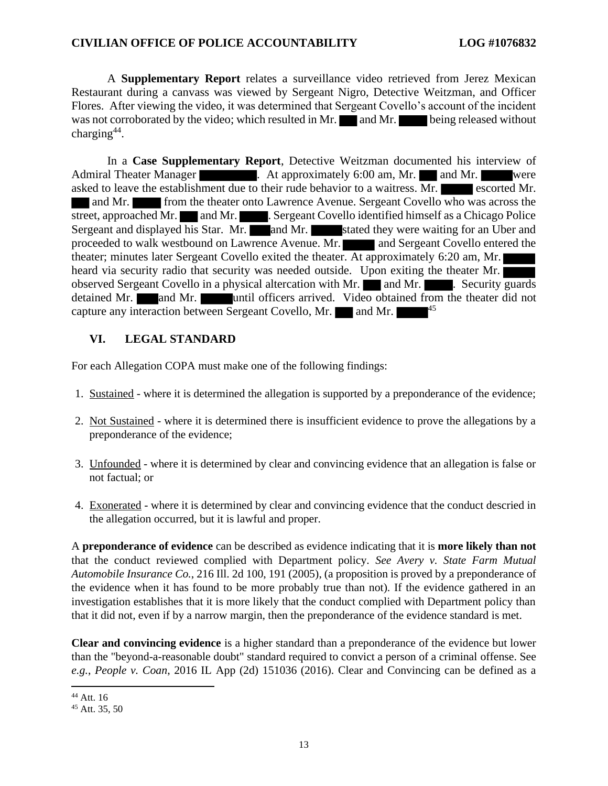A **Supplementary Report** relates a surveillance video retrieved from Jerez Mexican Restaurant during a canvass was viewed by Sergeant Nigro, Detective Weitzman, and Officer Flores. After viewing the video, it was determined that Sergeant Covello's account of the incident was not corroborated by the video; which resulted in Mr. and Mr. being released without charging $44$ .

In a **Case Supplementary Report**, Detective Weitzman documented his interview of Admiral Theater Manager . At approximately 6:00 am, Mr. and Mr. were asked to leave the establishment due to their rude behavior to a waitress. Mr. escorted Mr. and Mr. **from the theater onto Lawrence Avenue. Sergeant Covello who was across the** street, approached Mr. and Mr. . Sergeant Covello identified himself as a Chicago Police Sergeant and displayed his Star. Mr. and Mr. stated they were waiting for an Uber and proceeded to walk westbound on Lawrence Avenue. Mr. **and Sergeant Covello entered the** theater; minutes later Sergeant Covello exited the theater. At approximately 6:20 am, Mr. heard via security radio that security was needed outside. Upon exiting the theater Mr. observed Sergeant Covello in a physical altercation with Mr.  $\Box$  and Mr.  $\Box$  . Security guards detained Mr. and Mr. until officers arrived. Video obtained from the theater did not capture any interaction between Sergeant Covello, Mr.  $\Box$  and Mr.  $\Box$  45

## **VI. LEGAL STANDARD**

For each Allegation COPA must make one of the following findings:

- 1. Sustained where it is determined the allegation is supported by a preponderance of the evidence;
- 2. Not Sustained where it is determined there is insufficient evidence to prove the allegations by a preponderance of the evidence;
- 3. Unfounded where it is determined by clear and convincing evidence that an allegation is false or not factual; or
- 4. Exonerated where it is determined by clear and convincing evidence that the conduct descried in the allegation occurred, but it is lawful and proper.

A **preponderance of evidence** can be described as evidence indicating that it is **more likely than not** that the conduct reviewed complied with Department policy. *See Avery v. State Farm Mutual Automobile Insurance Co.*, 216 Ill. 2d 100, 191 (2005), (a proposition is proved by a preponderance of the evidence when it has found to be more probably true than not). If the evidence gathered in an investigation establishes that it is more likely that the conduct complied with Department policy than that it did not, even if by a narrow margin, then the preponderance of the evidence standard is met.

**Clear and convincing evidence** is a higher standard than a preponderance of the evidence but lower than the "beyond-a-reasonable doubt" standard required to convict a person of a criminal offense. See *e.g.*, *People v. Coan*, 2016 IL App (2d) 151036 (2016). Clear and Convincing can be defined as a

<sup>44</sup> Att. 16

<sup>45</sup> Att. 35, 50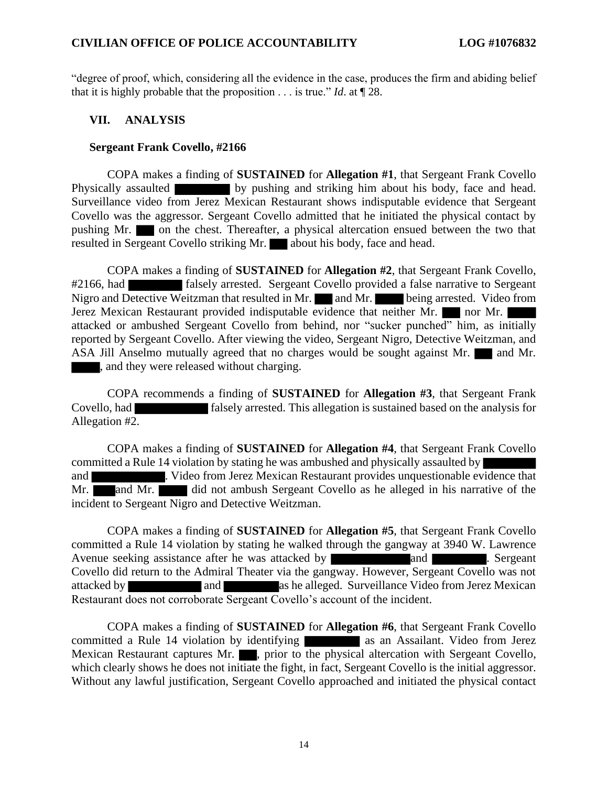"degree of proof, which, considering all the evidence in the case, produces the firm and abiding belief that it is highly probable that the proposition . . . is true." *Id*. at ¶ 28.

#### **VII. ANALYSIS**

#### **Sergeant Frank Covello, #2166**

COPA makes a finding of **SUSTAINED** for **Allegation #1**, that Sergeant Frank Covello Physically assaulted by pushing and striking him about his body, face and head. Surveillance video from Jerez Mexican Restaurant shows indisputable evidence that Sergeant Covello was the aggressor. Sergeant Covello admitted that he initiated the physical contact by pushing Mr. on the chest. Thereafter, a physical altercation ensued between the two that resulted in Sergeant Covello striking Mr. about his body, face and head.

COPA makes a finding of **SUSTAINED** for **Allegation #2**, that Sergeant Frank Covello, #2166, had falsely arrested. Sergeant Covello provided a false narrative to Sergeant Nigro and Detective Weitzman that resulted in Mr. and Mr. being arrested. Video from Jerez Mexican Restaurant provided indisputable evidence that neither Mr. nor Mr. attacked or ambushed Sergeant Covello from behind, nor "sucker punched" him, as initially reported by Sergeant Covello. After viewing the video, Sergeant Nigro, Detective Weitzman, and ASA Jill Anselmo mutually agreed that no charges would be sought against Mr.  $\blacksquare$  and Mr. , and they were released without charging.

COPA recommends a finding of **SUSTAINED** for **Allegation #3**, that Sergeant Frank Covello, had falsely arrested. This allegation is sustained based on the analysis for Allegation #2.

COPA makes a finding of **SUSTAINED** for **Allegation #4**, that Sergeant Frank Covello committed a Rule 14 violation by stating he was ambushed and physically assaulted by and . Video from Jerez Mexican Restaurant provides unquestionable evidence that Mr. and Mr. did not ambush Sergeant Covello as he alleged in his narrative of the incident to Sergeant Nigro and Detective Weitzman.

COPA makes a finding of **SUSTAINED** for **Allegation #5**, that Sergeant Frank Covello committed a Rule 14 violation by stating he walked through the gangway at 3940 W. Lawrence Avenue seeking assistance after he was attacked by and and and sergeant. Sergeant Covello did return to the Admiral Theater via the gangway. However, Sergeant Covello was not attacked by and and as he alleged. Surveillance Video from Jerez Mexican Restaurant does not corroborate Sergeant Covello's account of the incident.

COPA makes a finding of **SUSTAINED** for **Allegation #6**, that Sergeant Frank Covello committed a Rule 14 violation by identifying as an Assailant. Video from Jerez Mexican Restaurant captures Mr.  $\blacksquare$ , prior to the physical altercation with Sergeant Covello, which clearly shows he does not initiate the fight, in fact, Sergeant Covello is the initial aggressor. Without any lawful justification, Sergeant Covello approached and initiated the physical contact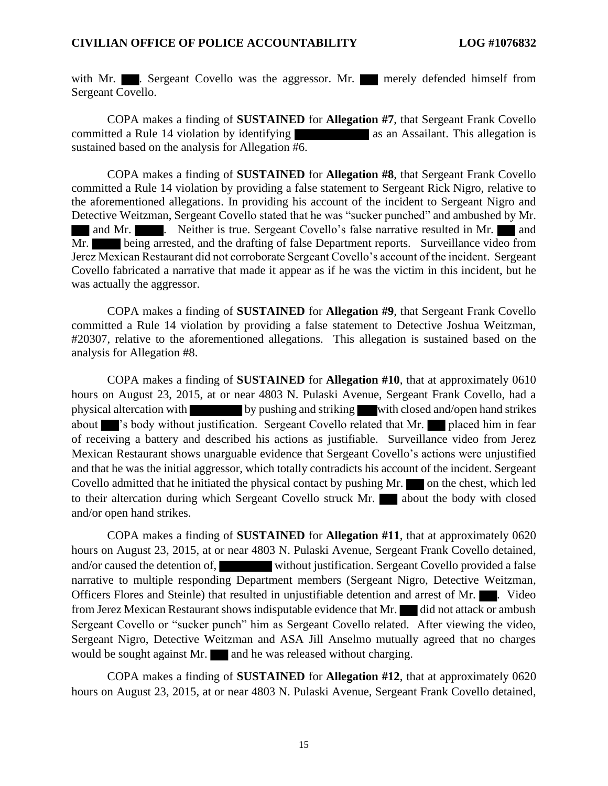with Mr.  $\blacksquare$ . Sergeant Covello was the aggressor. Mr. merely defended himself from Sergeant Covello.

COPA makes a finding of **SUSTAINED** for **Allegation #7**, that Sergeant Frank Covello committed a Rule 14 violation by identifying as an Assailant. This allegation is sustained based on the analysis for Allegation #6.

COPA makes a finding of **SUSTAINED** for **Allegation #8**, that Sergeant Frank Covello committed a Rule 14 violation by providing a false statement to Sergeant Rick Nigro, relative to the aforementioned allegations. In providing his account of the incident to Sergeant Nigro and Detective Weitzman, Sergeant Covello stated that he was "sucker punched" and ambushed by Mr. and Mr. **. ...** Neither is true. Sergeant Covello's false narrative resulted in Mr. **and** Mr. being arrested, and the drafting of false Department reports. Surveillance video from Jerez Mexican Restaurant did not corroborate Sergeant Covello's account of the incident. Sergeant Covello fabricated a narrative that made it appear as if he was the victim in this incident, but he was actually the aggressor.

COPA makes a finding of **SUSTAINED** for **Allegation #9**, that Sergeant Frank Covello committed a Rule 14 violation by providing a false statement to Detective Joshua Weitzman, #20307, relative to the aforementioned allegations. This allegation is sustained based on the analysis for Allegation #8.

COPA makes a finding of **SUSTAINED** for **Allegation #10**, that at approximately 0610 hours on August 23, 2015, at or near 4803 N. Pulaski Avenue, Sergeant Frank Covello, had a physical altercation with by pushing and striking with closed and/open hand strikes about 's body without justification. Sergeant Covello related that Mr. placed him in fear of receiving a battery and described his actions as justifiable. Surveillance video from Jerez Mexican Restaurant shows unarguable evidence that Sergeant Covello's actions were unjustified and that he was the initial aggressor, which totally contradicts his account of the incident. Sergeant Covello admitted that he initiated the physical contact by pushing Mr.  $\Box$  on the chest, which led to their altercation during which Sergeant Covello struck Mr. **about the body with closed** and/or open hand strikes.

COPA makes a finding of **SUSTAINED** for **Allegation #11**, that at approximately 0620 hours on August 23, 2015, at or near 4803 N. Pulaski Avenue, Sergeant Frank Covello detained, and/or caused the detention of, without justification. Sergeant Covello provided a false narrative to multiple responding Department members (Sergeant Nigro, Detective Weitzman, Officers Flores and Steinle) that resulted in unjustifiable detention and arrest of Mr. **...** Video from Jerez Mexican Restaurant shows indisputable evidence that Mr. did not attack or ambush Sergeant Covello or "sucker punch" him as Sergeant Covello related. After viewing the video, Sergeant Nigro, Detective Weitzman and ASA Jill Anselmo mutually agreed that no charges would be sought against Mr.  $\Box$  and he was released without charging.

COPA makes a finding of **SUSTAINED** for **Allegation #12**, that at approximately 0620 hours on August 23, 2015, at or near 4803 N. Pulaski Avenue, Sergeant Frank Covello detained,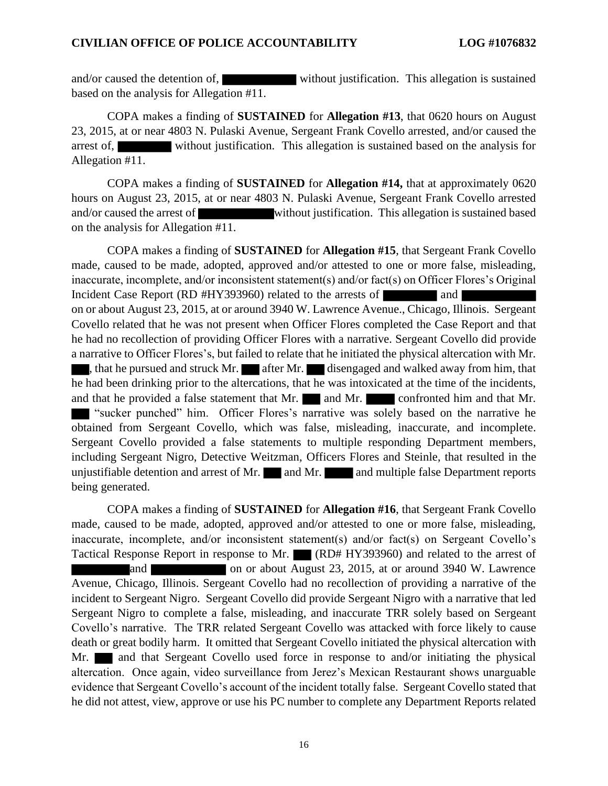and/or caused the detention of, without justification. This allegation is sustained based on the analysis for Allegation #11.

COPA makes a finding of **SUSTAINED** for **Allegation #13**, that 0620 hours on August 23, 2015, at or near 4803 N. Pulaski Avenue, Sergeant Frank Covello arrested, and/or caused the arrest of, without justification. This allegation is sustained based on the analysis for Allegation #11.

COPA makes a finding of **SUSTAINED** for **Allegation #14,** that at approximately 0620 hours on August 23, 2015, at or near 4803 N. Pulaski Avenue, Sergeant Frank Covello arrested and/or caused the arrest of without justification. This allegation is sustained based on the analysis for Allegation #11.

COPA makes a finding of **SUSTAINED** for **Allegation #15**, that Sergeant Frank Covello made, caused to be made, adopted, approved and/or attested to one or more false, misleading, inaccurate, incomplete, and/or inconsistent statement(s) and/or fact(s) on Officer Flores's Original Incident Case Report (RD #HY393960) related to the arrests of and on or about August 23, 2015, at or around 3940 W. Lawrence Avenue., Chicago, Illinois. Sergeant Covello related that he was not present when Officer Flores completed the Case Report and that he had no recollection of providing Officer Flores with a narrative. Sergeant Covello did provide a narrative to Officer Flores's, but failed to relate that he initiated the physical altercation with Mr. , that he pursued and struck Mr.  $\blacksquare$  after Mr. disengaged and walked away from him, that he had been drinking prior to the altercations, that he was intoxicated at the time of the incidents, and that he provided a false statement that Mr. and Mr. confronted him and that Mr. "sucker punched" him. Officer Flores's narrative was solely based on the narrative he obtained from Sergeant Covello, which was false, misleading, inaccurate, and incomplete. Sergeant Covello provided a false statements to multiple responding Department members, including Sergeant Nigro, Detective Weitzman, Officers Flores and Steinle, that resulted in the unjustifiable detention and arrest of Mr.  $\Box$  and Mr.  $\Box$  and multiple false Department reports being generated.

COPA makes a finding of **SUSTAINED** for **Allegation #16**, that Sergeant Frank Covello made, caused to be made, adopted, approved and/or attested to one or more false, misleading, inaccurate, incomplete, and/or inconsistent statement(s) and/or fact(s) on Sergeant Covello's Tactical Response Report in response to Mr. (RD# HY393960) and related to the arrest of and **a on** or about August 23, 2015, at or around 3940 W. Lawrence Avenue, Chicago, Illinois. Sergeant Covello had no recollection of providing a narrative of the incident to Sergeant Nigro. Sergeant Covello did provide Sergeant Nigro with a narrative that led Sergeant Nigro to complete a false, misleading, and inaccurate TRR solely based on Sergeant Covello's narrative. The TRR related Sergeant Covello was attacked with force likely to cause death or great bodily harm. It omitted that Sergeant Covello initiated the physical altercation with Mr. and that Sergeant Covello used force in response to and/or initiating the physical altercation. Once again, video surveillance from Jerez's Mexican Restaurant shows unarguable evidence that Sergeant Covello's account of the incident totally false. Sergeant Covello stated that he did not attest, view, approve or use his PC number to complete any Department Reports related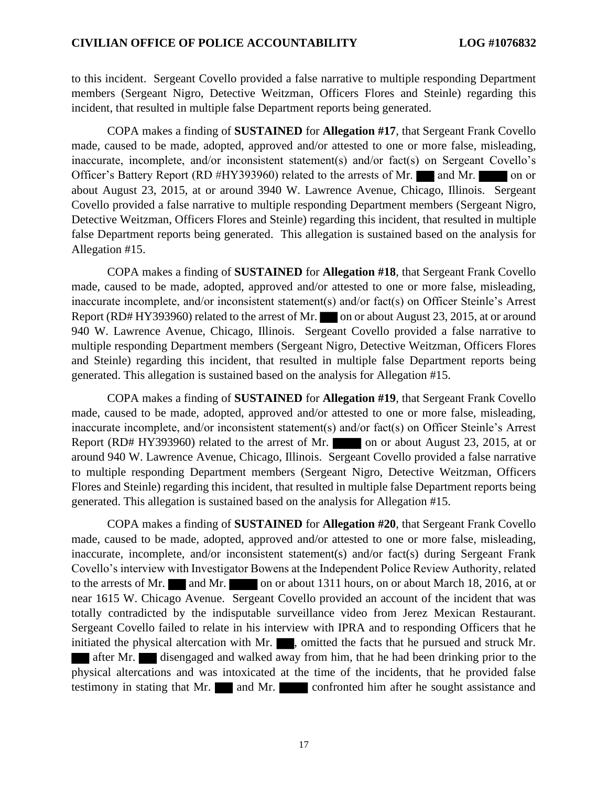to this incident. Sergeant Covello provided a false narrative to multiple responding Department members (Sergeant Nigro, Detective Weitzman, Officers Flores and Steinle) regarding this incident, that resulted in multiple false Department reports being generated.

COPA makes a finding of **SUSTAINED** for **Allegation #17**, that Sergeant Frank Covello made, caused to be made, adopted, approved and/or attested to one or more false, misleading, inaccurate, incomplete, and/or inconsistent statement(s) and/or fact(s) on Sergeant Covello's Officer's Battery Report (RD #HY393960) related to the arrests of Mr. and Mr. on or about August 23, 2015, at or around 3940 W. Lawrence Avenue, Chicago, Illinois. Sergeant Covello provided a false narrative to multiple responding Department members (Sergeant Nigro, Detective Weitzman, Officers Flores and Steinle) regarding this incident, that resulted in multiple false Department reports being generated. This allegation is sustained based on the analysis for Allegation #15.

COPA makes a finding of **SUSTAINED** for **Allegation #18**, that Sergeant Frank Covello made, caused to be made, adopted, approved and/or attested to one or more false, misleading, inaccurate incomplete, and/or inconsistent statement(s) and/or fact(s) on Officer Steinle's Arrest Report (RD# HY393960) related to the arrest of Mr. on or about August 23, 2015, at or around 940 W. Lawrence Avenue, Chicago, Illinois. Sergeant Covello provided a false narrative to multiple responding Department members (Sergeant Nigro, Detective Weitzman, Officers Flores and Steinle) regarding this incident, that resulted in multiple false Department reports being generated. This allegation is sustained based on the analysis for Allegation #15.

COPA makes a finding of **SUSTAINED** for **Allegation #19**, that Sergeant Frank Covello made, caused to be made, adopted, approved and/or attested to one or more false, misleading, inaccurate incomplete, and/or inconsistent statement(s) and/or fact(s) on Officer Steinle's Arrest Report (RD# HY393960) related to the arrest of Mr. on or about August 23, 2015, at or around 940 W. Lawrence Avenue, Chicago, Illinois. Sergeant Covello provided a false narrative to multiple responding Department members (Sergeant Nigro, Detective Weitzman, Officers Flores and Steinle) regarding this incident, that resulted in multiple false Department reports being generated. This allegation is sustained based on the analysis for Allegation #15.

COPA makes a finding of **SUSTAINED** for **Allegation #20**, that Sergeant Frank Covello made, caused to be made, adopted, approved and/or attested to one or more false, misleading, inaccurate, incomplete, and/or inconsistent statement(s) and/or fact(s) during Sergeant Frank Covello's interview with Investigator Bowens at the Independent Police Review Authority, related to the arrests of Mr. and Mr. on or about 1311 hours, on or about March 18, 2016, at or near 1615 W. Chicago Avenue. Sergeant Covello provided an account of the incident that was totally contradicted by the indisputable surveillance video from Jerez Mexican Restaurant. Sergeant Covello failed to relate in his interview with IPRA and to responding Officers that he initiated the physical altercation with Mr.  $\blacksquare$ , omitted the facts that he pursued and struck Mr. after Mr. disengaged and walked away from him, that he had been drinking prior to the physical altercations and was intoxicated at the time of the incidents, that he provided false testimony in stating that Mr. and Mr. confronted him after he sought assistance and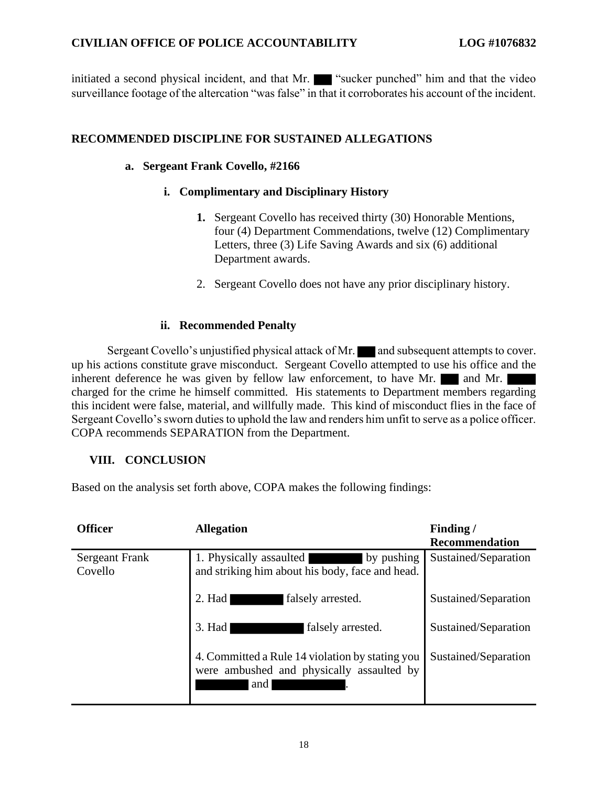initiated a second physical incident, and that Mr. "Sucker punched" him and that the video surveillance footage of the altercation "was false" in that it corroborates his account of the incident.

#### **RECOMMENDED DISCIPLINE FOR SUSTAINED ALLEGATIONS**

#### **a. Sergeant Frank Covello, #2166**

#### **i. Complimentary and Disciplinary History**

- **1.** Sergeant Covello has received thirty (30) Honorable Mentions, four (4) Department Commendations, twelve (12) Complimentary Letters, three (3) Life Saving Awards and six (6) additional Department awards.
- 2. Sergeant Covello does not have any prior disciplinary history.

#### **ii. Recommended Penalty**

Sergeant Covello's unjustified physical attack of Mr. and subsequent attempts to cover. up his actions constitute grave misconduct. Sergeant Covello attempted to use his office and the inherent deference he was given by fellow law enforcement, to have Mr.  $\blacksquare$  and Mr. charged for the crime he himself committed. His statements to Department members regarding this incident were false, material, and willfully made. This kind of misconduct flies in the face of Sergeant Covello's sworn duties to uphold the law and renders him unfit to serve as a police officer. COPA recommends SEPARATION from the Department.

#### **VIII. CONCLUSION**

Based on the analysis set forth above, COPA makes the following findings:

| <b>Officer</b>                   | <b>Allegation</b>                                                                                   | Finding/<br>Recommendation |
|----------------------------------|-----------------------------------------------------------------------------------------------------|----------------------------|
| <b>Sergeant Frank</b><br>Covello | 1. Physically assaulted<br>by pushing<br>and striking him about his body, face and head.            | Sustained/Separation       |
|                                  | $2.$ Had<br>falsely arrested.                                                                       | Sustained/Separation       |
|                                  | $3.$ Had<br>falsely arrested.                                                                       | Sustained/Separation       |
|                                  | 4. Committed a Rule 14 violation by stating you<br>were ambushed and physically assaulted by<br>and | Sustained/Separation       |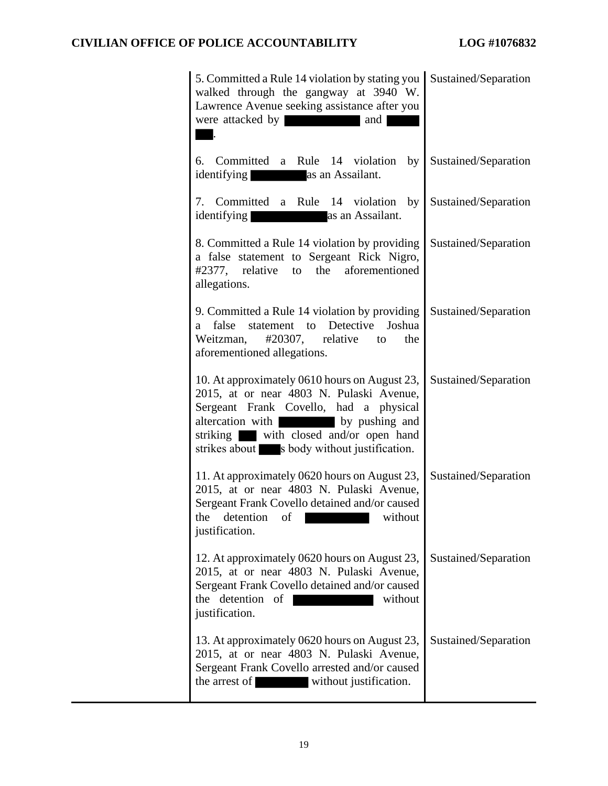| 5. Committed a Rule 14 violation by stating you<br>walked through the gangway at 3940 W.<br>Lawrence Avenue seeking assistance after you<br>were attacked by<br>and                                                                                                   | Sustained/Separation |
|-----------------------------------------------------------------------------------------------------------------------------------------------------------------------------------------------------------------------------------------------------------------------|----------------------|
| 6. Committed a Rule 14 violation by<br>as an Assailant.<br>identifying                                                                                                                                                                                                | Sustained/Separation |
| 7. Committed a Rule 14 violation by<br><i>identifying</i><br>as an Assailant.                                                                                                                                                                                         | Sustained/Separation |
| 8. Committed a Rule 14 violation by providing<br>a false statement to Sergeant Rick Nigro,<br>#2377, relative to the aforementioned<br>allegations.                                                                                                                   | Sustained/Separation |
| 9. Committed a Rule 14 violation by providing<br>statement to Detective<br>Joshua<br>false<br>a -<br>Weitzman,<br>$\text{\#20307},$ relative to<br>the<br>aforementioned allegations.                                                                                 | Sustained/Separation |
| 10. At approximately 0610 hours on August 23,<br>2015, at or near 4803 N. Pulaski Avenue,<br>Sergeant Frank Covello, had a physical<br>altercation with vertex by pushing and<br>striking with closed and/or open hand<br>strikes about s body without justification. | Sustained/Separation |
| 11. At approximately 0620 hours on August 23,<br>2015, at or near 4803 N. Pulaski Avenue,<br>Sergeant Frank Covello detained and/or caused<br>the detention of without<br>justification.                                                                              | Sustained/Separation |
| 12. At approximately 0620 hours on August 23,<br>2015, at or near 4803 N. Pulaski Avenue,<br>Sergeant Frank Covello detained and/or caused<br>the detention of<br>without<br>justification.                                                                           | Sustained/Separation |
| 13. At approximately 0620 hours on August 23,<br>2015, at or near 4803 N. Pulaski Avenue,<br>Sergeant Frank Covello arrested and/or caused<br>without justification.<br>the arrest of                                                                                 | Sustained/Separation |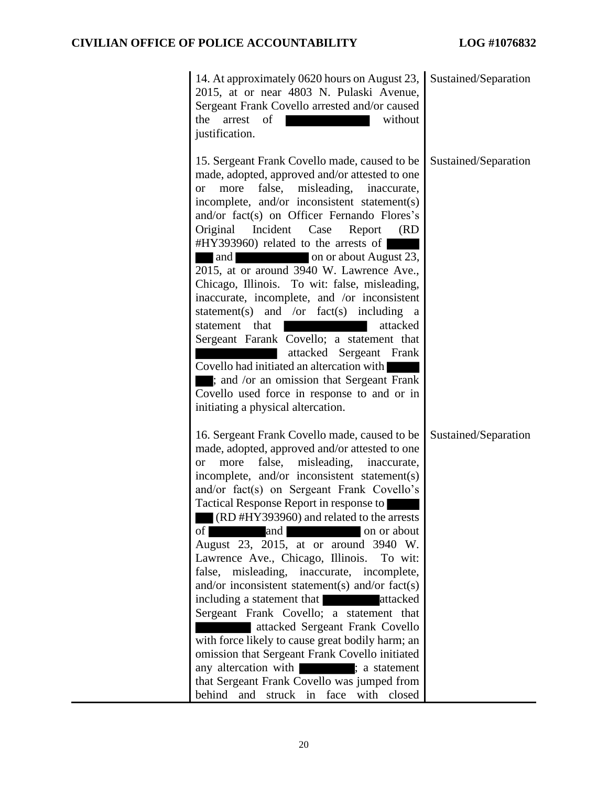| 14. At approximately 0620 hours on August 23, Sustained/Separation<br>2015, at or near 4803 N. Pulaski Avenue,<br>Sergeant Frank Covello arrested and/or caused<br>without<br>of<br>the<br>arrest<br>justification.                                                                                                                                                                                                                                                                                                                                                                                                                                                                                                                                                                                                                                                                                                                                 |                      |
|-----------------------------------------------------------------------------------------------------------------------------------------------------------------------------------------------------------------------------------------------------------------------------------------------------------------------------------------------------------------------------------------------------------------------------------------------------------------------------------------------------------------------------------------------------------------------------------------------------------------------------------------------------------------------------------------------------------------------------------------------------------------------------------------------------------------------------------------------------------------------------------------------------------------------------------------------------|----------------------|
| 15. Sergeant Frank Covello made, caused to be<br>made, adopted, approved and/or attested to one<br>false,<br>misleading,<br>more<br>inaccurate,<br><b>or</b><br>incomplete, and/or inconsistent statement(s)<br>and/or fact(s) on Officer Fernando Flores's<br>Original Incident Case<br>Report<br>(RD)<br>#HY393960) related to the arrests of  <br>on or about August 23,<br>and<br>2015, at or around 3940 W. Lawrence Ave.,<br>Chicago, Illinois. To wit: false, misleading,<br>inaccurate, incomplete, and /or inconsistent<br>statement(s) and /or fact(s) including<br>a<br>statement that<br>attacked<br>Sergeant Farank Covello; a statement that<br>attacked Sergeant Frank<br>Covello had initiated an altercation with<br>; and /or an omission that Sergeant Frank<br>Covello used force in response to and or in<br>initiating a physical altercation.                                                                                | Sustained/Separation |
| 16. Sergeant Frank Covello made, caused to be<br>made, adopted, approved and/or attested to one<br>false,<br>misleading,<br>more<br>inaccurate,<br><b>or</b><br>incomplete, and/or inconsistent statement(s)<br>and/or fact(s) on Sergeant Frank Covello's<br>Tactical Response Report in response to<br>(RD#HY393960) and related to the arrests<br>of<br>and<br>on or about<br>August 23, 2015, at or around 3940 W.<br>Lawrence Ave., Chicago, Illinois.<br>To wit:<br>false, misleading, inaccurate, incomplete,<br>and/or inconsistent statement(s) and/or fact(s)<br>including a statement that <b>a</b> attacked<br>Sergeant Frank Covello; a statement that<br>attacked Sergeant Frank Covello<br>with force likely to cause great bodily harm; an<br>omission that Sergeant Frank Covello initiated<br>any altercation with : a statement<br>that Sergeant Frank Covello was jumped from<br>behind<br>and<br>struck in face with<br>closed | Sustained/Separation |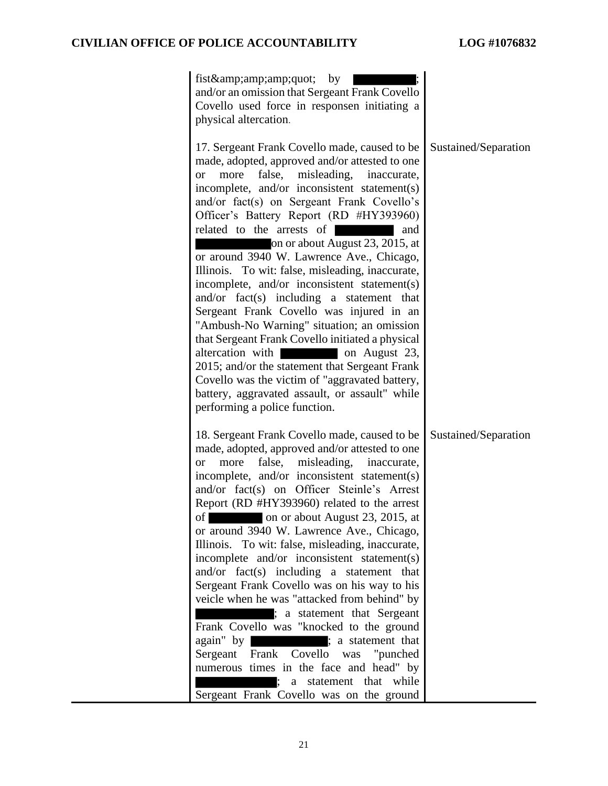| fist" by<br>and/or an omission that Sergeant Frank Covello<br>Covello used force in responsen initiating a<br>physical altercation.                                                                                                                                                                                                                                                                                                                                                                                                                                                                                                                                                                                                                                                                                                                                                                                                               |                      |
|---------------------------------------------------------------------------------------------------------------------------------------------------------------------------------------------------------------------------------------------------------------------------------------------------------------------------------------------------------------------------------------------------------------------------------------------------------------------------------------------------------------------------------------------------------------------------------------------------------------------------------------------------------------------------------------------------------------------------------------------------------------------------------------------------------------------------------------------------------------------------------------------------------------------------------------------------|----------------------|
| 17. Sergeant Frank Covello made, caused to be<br>made, adopted, approved and/or attested to one<br>false,<br>misleading, inaccurate,<br>more<br><b>or</b><br>incomplete, and/or inconsistent statement(s)<br>and/or fact(s) on Sergeant Frank Covello's<br>Officer's Battery Report (RD #HY393960)<br>related to the arrests of<br>and<br>on or about August 23, 2015, at<br>or around 3940 W. Lawrence Ave., Chicago,<br>Illinois. To wit: false, misleading, inaccurate,<br>incomplete, and/or inconsistent statement(s)<br>and/or fact(s) including a statement that<br>Sergeant Frank Covello was injured in an<br>"Ambush-No Warning" situation; an omission<br>that Sergeant Frank Covello initiated a physical<br>altercation with<br>on August 23,<br>2015; and/or the statement that Sergeant Frank<br>Covello was the victim of "aggravated battery,<br>battery, aggravated assault, or assault" while<br>performing a police function. | Sustained/Separation |
| 18. Sergeant Frank Covello made, caused to be<br>made, adopted, approved and/or attested to one<br>false,<br>misleading, inaccurate,<br>more<br><b>or</b><br>incomplete, and/or inconsistent statement(s)<br>and/or fact(s) on Officer Steinle's Arrest<br>Report (RD #HY393960) related to the arrest<br>on or about August 23, 2015, at<br>of  <br>or around 3940 W. Lawrence Ave., Chicago,<br>Illinois. To wit: false, misleading, inaccurate,<br>incomplete and/or inconsistent statement(s)<br>and/or $fact(s)$ including a statement that<br>Sergeant Frank Covello was on his way to his<br>veicle when he was "attacked from behind" by<br>; a statement that Sergeant<br>Frank Covello was "knocked to the ground<br>again" by ; a statement that<br>Sergeant Frank Covello was "punched<br>numerous times in the face and head" by<br>; a statement that while<br>Sergeant Frank Covello was on the ground                             | Sustained/Separation |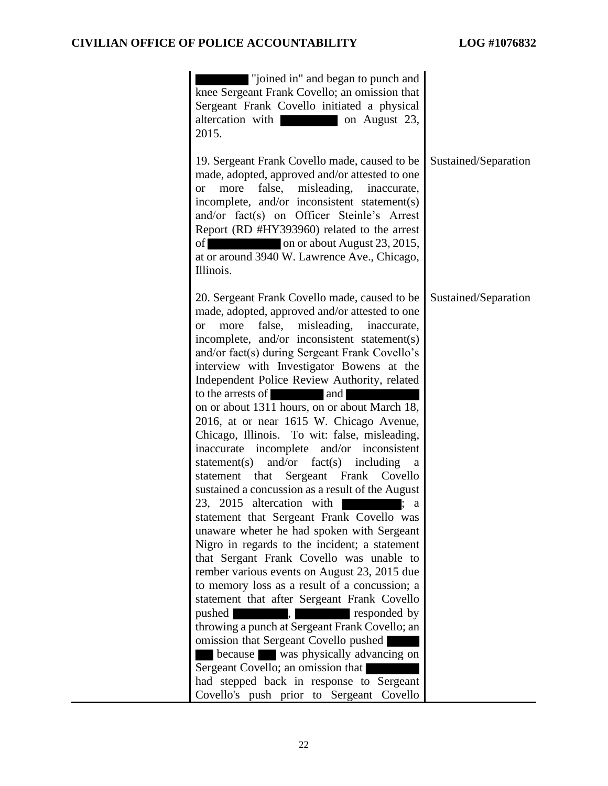| "joined in" and began to punch and<br>knee Sergeant Frank Covello; an omission that<br>Sergeant Frank Covello initiated a physical<br>altercation with<br>on August 23,<br>2015.                                                                                                                                                                                                                                                                                                                                                                                                                                                                                                                                                                                                                                                                                                                                                                                                                                                                                                                                                                                                                                                                                                                                                                                                                          |                      |
|-----------------------------------------------------------------------------------------------------------------------------------------------------------------------------------------------------------------------------------------------------------------------------------------------------------------------------------------------------------------------------------------------------------------------------------------------------------------------------------------------------------------------------------------------------------------------------------------------------------------------------------------------------------------------------------------------------------------------------------------------------------------------------------------------------------------------------------------------------------------------------------------------------------------------------------------------------------------------------------------------------------------------------------------------------------------------------------------------------------------------------------------------------------------------------------------------------------------------------------------------------------------------------------------------------------------------------------------------------------------------------------------------------------|----------------------|
| 19. Sergeant Frank Covello made, caused to be<br>made, adopted, approved and/or attested to one<br>more false,<br>misleading,<br>inaccurate,<br>or<br>incomplete, and/or inconsistent statement(s)<br>and/or fact(s) on Officer Steinle's Arrest<br>Report (RD #HY393960) related to the arrest<br>on or about August 23, 2015,<br>of<br>at or around 3940 W. Lawrence Ave., Chicago,<br>Illinois.                                                                                                                                                                                                                                                                                                                                                                                                                                                                                                                                                                                                                                                                                                                                                                                                                                                                                                                                                                                                        | Sustained/Separation |
| 20. Sergeant Frank Covello made, caused to be<br>made, adopted, approved and/or attested to one<br>more<br>false,<br>misleading,<br>inaccurate,<br><b>or</b><br>incomplete, and/or inconsistent statement(s)<br>and/or fact(s) during Sergeant Frank Covello's<br>interview with Investigator Bowens at the<br>Independent Police Review Authority, related<br>to the arrests of<br>and<br>on or about 1311 hours, on or about March 18,<br>2016, at or near 1615 W. Chicago Avenue,<br>Chicago, Illinois. To wit: false, misleading,<br>inaccurate incomplete and/or inconsistent<br>and/or $fact(s)$ including<br>statement(s)<br>a<br>Sergeant Frank Covello<br>statement that<br>sustained a concussion as a result of the August<br>23, 2015 altercation with<br>a<br>statement that Sergeant Frank Covello was<br>unaware wheter he had spoken with Sergeant<br>Nigro in regards to the incident; a statement<br>that Sergant Frank Covello was unable to<br>rember various events on August 23, 2015 due<br>to memory loss as a result of a concussion; a<br>statement that after Sergeant Frank Covello<br>pushed<br>responded by<br>throwing a punch at Sergeant Frank Covello; an<br>omission that Sergeant Covello pushed<br>because was physically advancing on<br>Sergeant Covello; an omission that<br>had stepped back in response to Sergeant<br>Covello's push prior to Sergeant Covello | Sustained/Separation |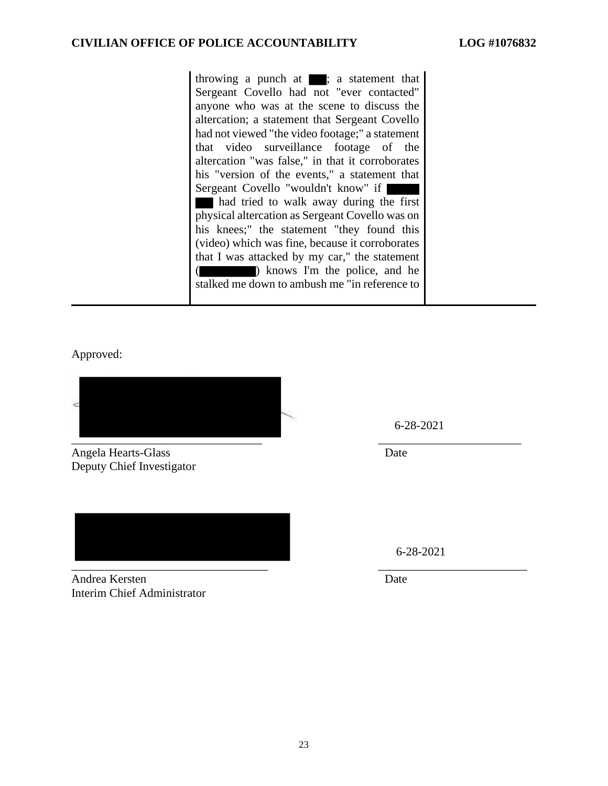throwing a punch at  $\blacksquare$ ; a statement that Sergeant Covello had not "ever contacted" anyone who was at the scene to discuss the altercation; a statement that Sergeant Covello had not viewed "the video footage;" a statement that video surveillance footage of the altercation "was false," in that it corroborates his "version of the events," a statement that Sergeant Covello "wouldn't know" if had tried to walk away during the first physical altercation as Sergeant Covello was on his knees;" the statement "they found this (video) which was fine, because it corroborates that I was attacked by my car," the statement (**)** knows I'm the police, and he stalked me down to ambush me "in reference to

Approved:

\_\_\_\_\_\_\_\_\_\_\_\_\_\_\_\_\_\_\_\_\_\_\_\_\_\_\_\_\_\_\_\_ \_\_\_\_\_\_\_\_\_\_\_\_\_\_\_\_\_\_\_\_\_\_\_\_

Angela Hearts-Glass Date Deputy Chief Investigator

\_\_\_\_\_\_\_\_\_\_\_\_\_\_\_\_\_\_\_\_\_\_\_\_\_\_\_\_\_\_\_\_\_ \_\_\_\_\_\_\_\_\_\_\_\_\_\_\_\_\_\_\_\_\_\_\_\_\_

Andrea Kersten Date Interim Chief Administrator

6-28-2021

6-28-2021